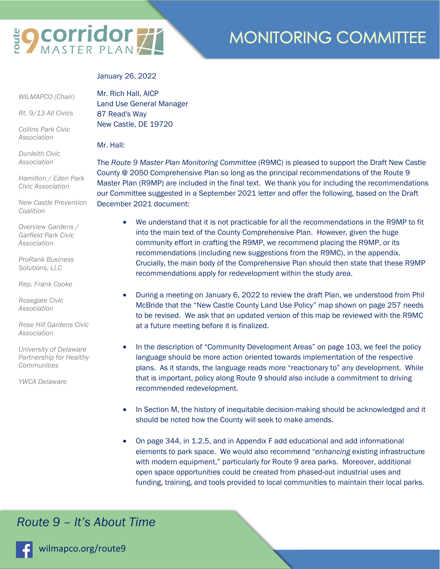# **EQ COrridor 77**

### **MONITORING COMMITTEE**

January 26, 2022

 *WILMAPCO (Chair)* 

*Rt. 9/13 All Civics* 

*Collins Park Civic Association* 

*Dunleith Civic Association* 

*Hamilton / Eden Park Civic Association* 

*New Castle Prevention Coalition* 

*Overview Gardens / Garfield Park Civic Association* 

*ProRank Business Solutions, LLC* 

*Rep. Frank Cooke* 

*Rosegate Civic Association* 

*Rose Hill Gardens Civic Association* 

*University of Delaware Partnership for Healthy Communities* 

*YWCA Delaware* 

Mr. Rich Hall, AICP Land Use General Manager 87 Read's Way New Castle, DE 19720

Mr. Hall:

The *Route 9 Master Plan Monitoring Committee* (R9MC) is pleased to support the Draft New Castle County @ 2050 Comprehensive Plan so long as the principal recommendations of the Route 9 Master Plan (R9MP) are included in the final text. We thank you for including the recommendations our Committee suggested in a September 2021 letter and offer the following, based on the Draft December 2021 document:

- We understand that it is not practicable for all the recommendations in the R9MP to fit into the main text of the County Comprehensive Plan. However, given the huge community effort in crafting the R9MP, we recommend placing the R9MP, or its recommendations (including new suggestions from the R9MC), in the appendix. Crucially, the main body of the Comprehensive Plan should then state that these R9MP recommendations apply for redevelopment within the study area.
- During a meeting on January 6, 2022 to review the draft Plan, we understood from Phil McBride that the "New Castle County Land Use Policy" map shown on page 257 needs to be revised. We ask that an updated version of this map be reviewed with the R9MC at a future meeting before it is finalized.
- In the description of "Community Development Areas" on page 103, we feel the policy language should be more action oriented towards implementation of the respective plans. As it stands, the language reads more "reactionary to" any development. While that is important, policy along Route 9 should also include a commitment to driving recommended redevelopment.
- In Section M, the history of inequitable decision-making should be acknowledged and it should be noted how the County will seek to make amends.
- On page 344, in 1.2.5, and in Appendix F add educational and add informational elements to park space. We would also recommend "*enhancing* existing infrastructure with modern equipment," particularly for Route 9 area parks. Moreover, additional open space opportunities could be created from phased-out industrial uses and funding, training, and tools provided to local communities to maintain their local parks.

#### *Route 9 – It's About Time*